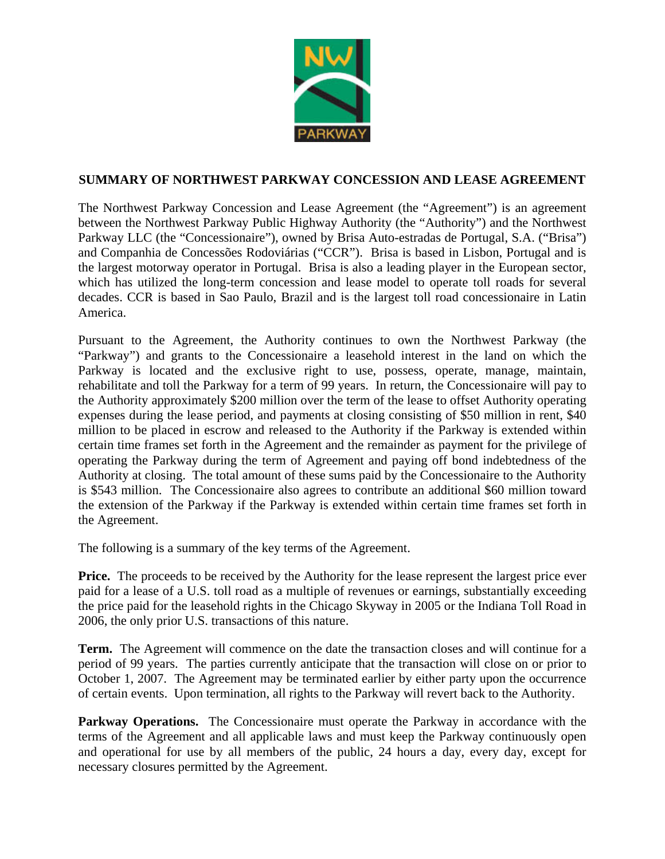

## **SUMMARY OF NORTHWEST PARKWAY CONCESSION AND LEASE AGREEMENT**

The Northwest Parkway Concession and Lease Agreement (the "Agreement") is an agreement between the Northwest Parkway Public Highway Authority (the "Authority") and the Northwest Parkway LLC (the "Concessionaire"), owned by Brisa Auto-estradas de Portugal, S.A. ("Brisa") and Companhia de Concessões Rodoviárias ("CCR"). Brisa is based in Lisbon, Portugal and is the largest motorway operator in Portugal. Brisa is also a leading player in the European sector, which has utilized the long-term concession and lease model to operate toll roads for several decades. CCR is based in Sao Paulo, Brazil and is the largest toll road concessionaire in Latin America.

Pursuant to the Agreement, the Authority continues to own the Northwest Parkway (the "Parkway") and grants to the Concessionaire a leasehold interest in the land on which the Parkway is located and the exclusive right to use, possess, operate, manage, maintain, rehabilitate and toll the Parkway for a term of 99 years. In return, the Concessionaire will pay to the Authority approximately \$200 million over the term of the lease to offset Authority operating expenses during the lease period, and payments at closing consisting of \$50 million in rent, \$40 million to be placed in escrow and released to the Authority if the Parkway is extended within certain time frames set forth in the Agreement and the remainder as payment for the privilege of operating the Parkway during the term of Agreement and paying off bond indebtedness of the Authority at closing. The total amount of these sums paid by the Concessionaire to the Authority is \$543 million. The Concessionaire also agrees to contribute an additional \$60 million toward the extension of the Parkway if the Parkway is extended within certain time frames set forth in the Agreement.

The following is a summary of the key terms of the Agreement.

**Price.** The proceeds to be received by the Authority for the lease represent the largest price ever paid for a lease of a U.S. toll road as a multiple of revenues or earnings, substantially exceeding the price paid for the leasehold rights in the Chicago Skyway in 2005 or the Indiana Toll Road in 2006, the only prior U.S. transactions of this nature.

**Term.** The Agreement will commence on the date the transaction closes and will continue for a period of 99 years. The parties currently anticipate that the transaction will close on or prior to October 1, 2007. The Agreement may be terminated earlier by either party upon the occurrence of certain events. Upon termination, all rights to the Parkway will revert back to the Authority.

**Parkway Operations.** The Concessionaire must operate the Parkway in accordance with the terms of the Agreement and all applicable laws and must keep the Parkway continuously open and operational for use by all members of the public, 24 hours a day, every day, except for necessary closures permitted by the Agreement.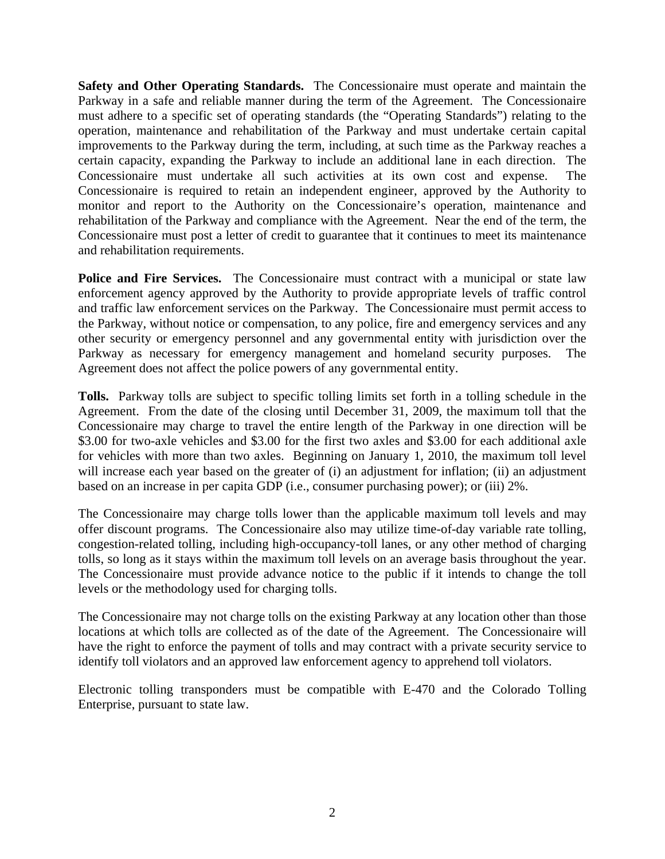**Safety and Other Operating Standards.** The Concessionaire must operate and maintain the Parkway in a safe and reliable manner during the term of the Agreement. The Concessionaire must adhere to a specific set of operating standards (the "Operating Standards") relating to the operation, maintenance and rehabilitation of the Parkway and must undertake certain capital improvements to the Parkway during the term, including, at such time as the Parkway reaches a certain capacity, expanding the Parkway to include an additional lane in each direction. The Concessionaire must undertake all such activities at its own cost and expense. The Concessionaire is required to retain an independent engineer, approved by the Authority to monitor and report to the Authority on the Concessionaire's operation, maintenance and rehabilitation of the Parkway and compliance with the Agreement. Near the end of the term, the Concessionaire must post a letter of credit to guarantee that it continues to meet its maintenance and rehabilitation requirements.

**Police and Fire Services.** The Concessionaire must contract with a municipal or state law enforcement agency approved by the Authority to provide appropriate levels of traffic control and traffic law enforcement services on the Parkway. The Concessionaire must permit access to the Parkway, without notice or compensation, to any police, fire and emergency services and any other security or emergency personnel and any governmental entity with jurisdiction over the Parkway as necessary for emergency management and homeland security purposes. The Agreement does not affect the police powers of any governmental entity.

**Tolls.** Parkway tolls are subject to specific tolling limits set forth in a tolling schedule in the Agreement. From the date of the closing until December 31, 2009, the maximum toll that the Concessionaire may charge to travel the entire length of the Parkway in one direction will be \$3.00 for two-axle vehicles and \$3.00 for the first two axles and \$3.00 for each additional axle for vehicles with more than two axles. Beginning on January 1, 2010, the maximum toll level will increase each year based on the greater of (i) an adjustment for inflation; (ii) an adjustment based on an increase in per capita GDP (i.e., consumer purchasing power); or (iii) 2%.

The Concessionaire may charge tolls lower than the applicable maximum toll levels and may offer discount programs. The Concessionaire also may utilize time-of-day variable rate tolling, congestion-related tolling, including high-occupancy-toll lanes, or any other method of charging tolls, so long as it stays within the maximum toll levels on an average basis throughout the year. The Concessionaire must provide advance notice to the public if it intends to change the toll levels or the methodology used for charging tolls.

The Concessionaire may not charge tolls on the existing Parkway at any location other than those locations at which tolls are collected as of the date of the Agreement. The Concessionaire will have the right to enforce the payment of tolls and may contract with a private security service to identify toll violators and an approved law enforcement agency to apprehend toll violators.

Electronic tolling transponders must be compatible with E-470 and the Colorado Tolling Enterprise, pursuant to state law.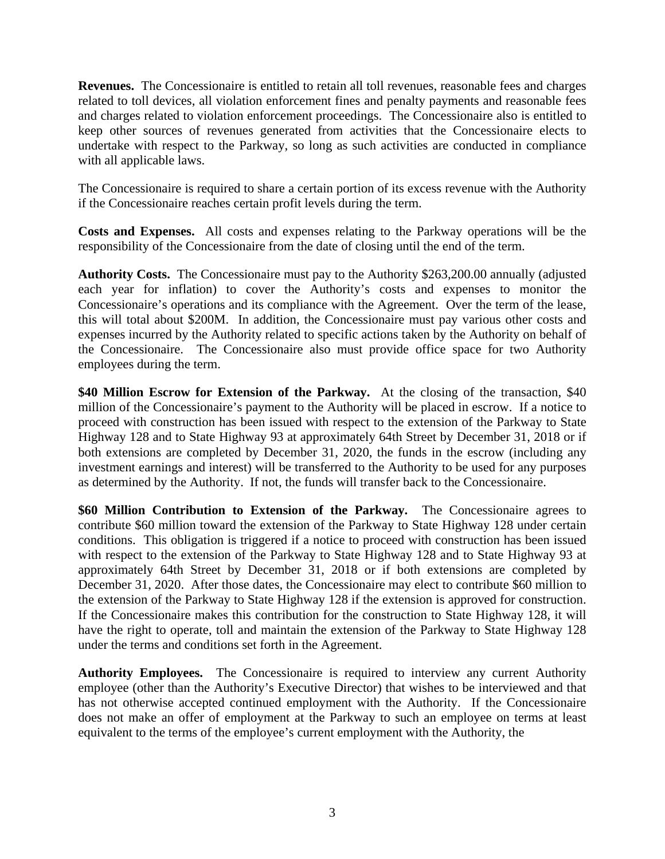**Revenues.** The Concessionaire is entitled to retain all toll revenues, reasonable fees and charges related to toll devices, all violation enforcement fines and penalty payments and reasonable fees and charges related to violation enforcement proceedings. The Concessionaire also is entitled to keep other sources of revenues generated from activities that the Concessionaire elects to undertake with respect to the Parkway, so long as such activities are conducted in compliance with all applicable laws.

The Concessionaire is required to share a certain portion of its excess revenue with the Authority if the Concessionaire reaches certain profit levels during the term.

**Costs and Expenses.** All costs and expenses relating to the Parkway operations will be the responsibility of the Concessionaire from the date of closing until the end of the term.

**Authority Costs.** The Concessionaire must pay to the Authority \$263,200.00 annually (adjusted each year for inflation) to cover the Authority's costs and expenses to monitor the Concessionaire's operations and its compliance with the Agreement. Over the term of the lease, this will total about \$200M. In addition, the Concessionaire must pay various other costs and expenses incurred by the Authority related to specific actions taken by the Authority on behalf of the Concessionaire. The Concessionaire also must provide office space for two Authority employees during the term.

**\$40 Million Escrow for Extension of the Parkway.** At the closing of the transaction, \$40 million of the Concessionaire's payment to the Authority will be placed in escrow. If a notice to proceed with construction has been issued with respect to the extension of the Parkway to State Highway 128 and to State Highway 93 at approximately 64th Street by December 31, 2018 or if both extensions are completed by December 31, 2020, the funds in the escrow (including any investment earnings and interest) will be transferred to the Authority to be used for any purposes as determined by the Authority. If not, the funds will transfer back to the Concessionaire.

**\$60 Million Contribution to Extension of the Parkway.** The Concessionaire agrees to contribute \$60 million toward the extension of the Parkway to State Highway 128 under certain conditions. This obligation is triggered if a notice to proceed with construction has been issued with respect to the extension of the Parkway to State Highway 128 and to State Highway 93 at approximately 64th Street by December 31, 2018 or if both extensions are completed by December 31, 2020. After those dates, the Concessionaire may elect to contribute \$60 million to the extension of the Parkway to State Highway 128 if the extension is approved for construction. If the Concessionaire makes this contribution for the construction to State Highway 128, it will have the right to operate, toll and maintain the extension of the Parkway to State Highway 128 under the terms and conditions set forth in the Agreement.

**Authority Employees.** The Concessionaire is required to interview any current Authority employee (other than the Authority's Executive Director) that wishes to be interviewed and that has not otherwise accepted continued employment with the Authority. If the Concessionaire does not make an offer of employment at the Parkway to such an employee on terms at least equivalent to the terms of the employee's current employment with the Authority, the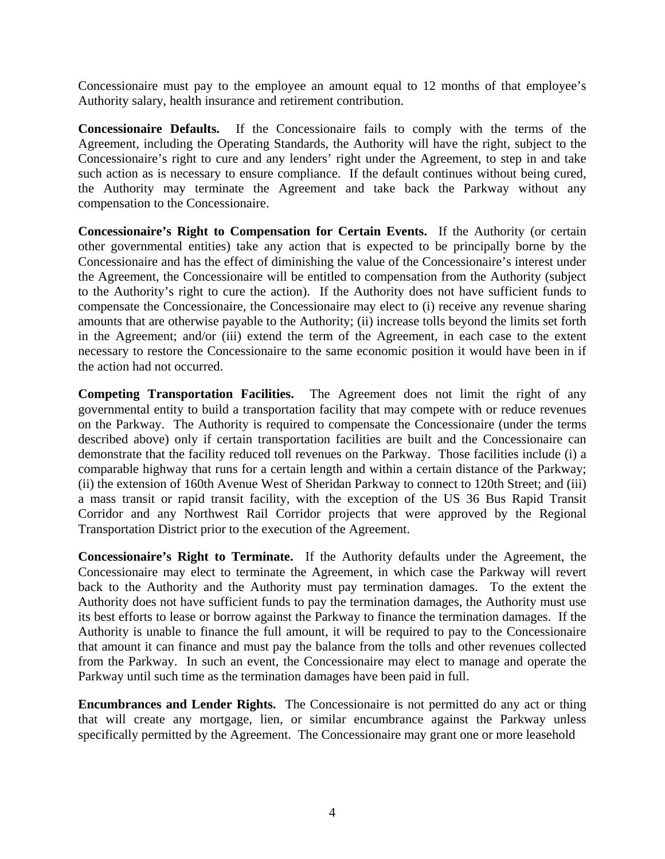Concessionaire must pay to the employee an amount equal to 12 months of that employee's Authority salary, health insurance and retirement contribution.

**Concessionaire Defaults.** If the Concessionaire fails to comply with the terms of the Agreement, including the Operating Standards, the Authority will have the right, subject to the Concessionaire's right to cure and any lenders' right under the Agreement, to step in and take such action as is necessary to ensure compliance. If the default continues without being cured, the Authority may terminate the Agreement and take back the Parkway without any compensation to the Concessionaire.

**Concessionaire's Right to Compensation for Certain Events.** If the Authority (or certain other governmental entities) take any action that is expected to be principally borne by the Concessionaire and has the effect of diminishing the value of the Concessionaire's interest under the Agreement, the Concessionaire will be entitled to compensation from the Authority (subject to the Authority's right to cure the action). If the Authority does not have sufficient funds to compensate the Concessionaire, the Concessionaire may elect to (i) receive any revenue sharing amounts that are otherwise payable to the Authority; (ii) increase tolls beyond the limits set forth in the Agreement; and/or (iii) extend the term of the Agreement, in each case to the extent necessary to restore the Concessionaire to the same economic position it would have been in if the action had not occurred.

**Competing Transportation Facilities.** The Agreement does not limit the right of any governmental entity to build a transportation facility that may compete with or reduce revenues on the Parkway. The Authority is required to compensate the Concessionaire (under the terms described above) only if certain transportation facilities are built and the Concessionaire can demonstrate that the facility reduced toll revenues on the Parkway. Those facilities include (i) a comparable highway that runs for a certain length and within a certain distance of the Parkway; (ii) the extension of 160th Avenue West of Sheridan Parkway to connect to 120th Street; and (iii) a mass transit or rapid transit facility, with the exception of the US 36 Bus Rapid Transit Corridor and any Northwest Rail Corridor projects that were approved by the Regional Transportation District prior to the execution of the Agreement.

**Concessionaire's Right to Terminate.** If the Authority defaults under the Agreement, the Concessionaire may elect to terminate the Agreement, in which case the Parkway will revert back to the Authority and the Authority must pay termination damages. To the extent the Authority does not have sufficient funds to pay the termination damages, the Authority must use its best efforts to lease or borrow against the Parkway to finance the termination damages. If the Authority is unable to finance the full amount, it will be required to pay to the Concessionaire that amount it can finance and must pay the balance from the tolls and other revenues collected from the Parkway. In such an event, the Concessionaire may elect to manage and operate the Parkway until such time as the termination damages have been paid in full.

**Encumbrances and Lender Rights.** The Concessionaire is not permitted do any act or thing that will create any mortgage, lien, or similar encumbrance against the Parkway unless specifically permitted by the Agreement. The Concessionaire may grant one or more leasehold